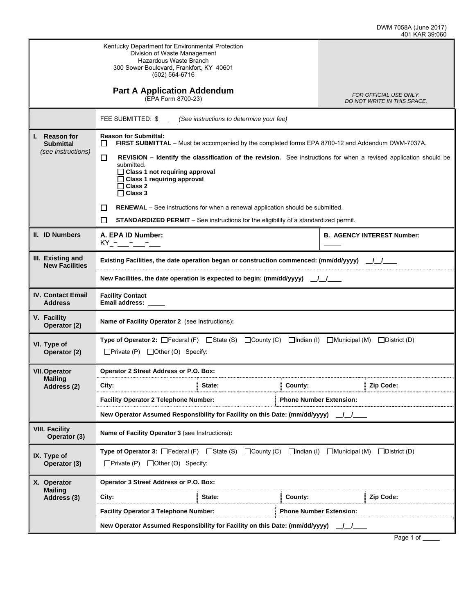|                                                                    | Kentucky Department for Environmental Protection<br>Division of Waste Management<br>Hazardous Waste Branch<br>300 Sower Boulevard, Frankfort, KY 40601<br>(502) 564-6716                                                                                                                                                                                                                                                                                                                                |                                                       |  |  |  |
|--------------------------------------------------------------------|---------------------------------------------------------------------------------------------------------------------------------------------------------------------------------------------------------------------------------------------------------------------------------------------------------------------------------------------------------------------------------------------------------------------------------------------------------------------------------------------------------|-------------------------------------------------------|--|--|--|
|                                                                    | <b>Part A Application Addendum</b><br>(EPA Form 8700-23)                                                                                                                                                                                                                                                                                                                                                                                                                                                | FOR OFFICIAL USE ONLY.<br>DO NOT WRITE IN THIS SPACE. |  |  |  |
|                                                                    | FEE SUBMITTED: \$_____ (See instructions to determine your fee)                                                                                                                                                                                                                                                                                                                                                                                                                                         |                                                       |  |  |  |
| <b>Reason for</b><br>I.,<br><b>Submittal</b><br>(see instructions) | <b>Reason for Submittal:</b><br>FIRST SUBMITTAL - Must be accompanied by the completed forms EPA 8700-12 and Addendum DWM-7037A.<br>$\Box$<br>ப<br>REVISION – Identify the classification of the revision. See instructions for when a revised application should be<br>submitted.<br>$\Box$ Class 1 not requiring approval<br>$\Box$ Class 1 requiring approval<br>$\Box$ Class 2<br>$\Box$ Class 3<br>$\Box$<br><b>RENEWAL</b> – See instructions for when a renewal application should be submitted. |                                                       |  |  |  |
|                                                                    | П<br><b>STANDARDIZED PERMIT</b> – See instructions for the eligibility of a standardized permit.                                                                                                                                                                                                                                                                                                                                                                                                        |                                                       |  |  |  |
| II. ID Numbers                                                     | A. EPA ID Number:<br>$KY - - - -$                                                                                                                                                                                                                                                                                                                                                                                                                                                                       | <b>B. AGENCY INTEREST Number:</b>                     |  |  |  |
| III. Existing and<br><b>New Facilities</b>                         | Existing Facilities, the date operation began or construction commenced: (mm/dd/yyyy) /                                                                                                                                                                                                                                                                                                                                                                                                                 |                                                       |  |  |  |
|                                                                    | New Facilities, the date operation is expected to begin: $(mm/dd/yyyy)$ / /                                                                                                                                                                                                                                                                                                                                                                                                                             |                                                       |  |  |  |
| <b>IV. Contact Email</b><br><b>Address</b>                         | <b>Facility Contact</b><br>Email address:                                                                                                                                                                                                                                                                                                                                                                                                                                                               |                                                       |  |  |  |
| V. Facility<br>Operator (2)                                        | Name of Facility Operator 2 (see Instructions):                                                                                                                                                                                                                                                                                                                                                                                                                                                         |                                                       |  |  |  |
| VI. Type of<br>Operator (2)                                        | <b>Type of Operator 2:</b> $\Box$ Federal (F) $\Box$ State (S) $\Box$ County (C) $\Box$ Indian (I)<br>$\square$ District (D)<br>■Municipal (M)<br>$\Box$ Private (P) $\Box$ Other (O) Specify:                                                                                                                                                                                                                                                                                                          |                                                       |  |  |  |
| <b>VII. Operator</b><br><b>Mailing</b>                             | Operator 2 Street Address or P.O. Box:                                                                                                                                                                                                                                                                                                                                                                                                                                                                  |                                                       |  |  |  |
| Address (2)                                                        | City:<br>State:<br>County:                                                                                                                                                                                                                                                                                                                                                                                                                                                                              | Zip Code:                                             |  |  |  |
|                                                                    | <b>Facility Operator 2 Telephone Number:</b>                                                                                                                                                                                                                                                                                                                                                                                                                                                            | <b>Phone Number Extension:</b>                        |  |  |  |
|                                                                    | New Operator Assumed Responsibility for Facility on this Date: (mm/dd/yyyy)                                                                                                                                                                                                                                                                                                                                                                                                                             |                                                       |  |  |  |
| <b>VIII. Facility</b><br>Operator (3)                              | Name of Facility Operator 3 (see Instructions):                                                                                                                                                                                                                                                                                                                                                                                                                                                         |                                                       |  |  |  |
| IX. Type of<br>Operator (3)                                        | <b>Type of Operator 3:</b> $\Box$ Federal (F) $\Box$ State (S) $\Box$ County (C) $\Box$ Indian (I) $\Box$ Municipal (M)<br>$\square$ District (D)<br>$\Box$ Private (P) $\Box$ Other (O) Specify:                                                                                                                                                                                                                                                                                                       |                                                       |  |  |  |
| X. Operator                                                        | Operator 3 Street Address or P.O. Box:                                                                                                                                                                                                                                                                                                                                                                                                                                                                  |                                                       |  |  |  |
| <b>Mailing</b><br>Address (3)                                      | City:<br>State:<br>County:                                                                                                                                                                                                                                                                                                                                                                                                                                                                              | Zip Code:                                             |  |  |  |
|                                                                    | <b>Facility Operator 3 Telephone Number:</b><br><b>Phone Number Extension:</b>                                                                                                                                                                                                                                                                                                                                                                                                                          |                                                       |  |  |  |
|                                                                    | New Operator Assumed Responsibility for Facility on this Date: (mm/dd/yyyy)                                                                                                                                                                                                                                                                                                                                                                                                                             |                                                       |  |  |  |
|                                                                    |                                                                                                                                                                                                                                                                                                                                                                                                                                                                                                         |                                                       |  |  |  |

Page 1 of \_\_\_\_\_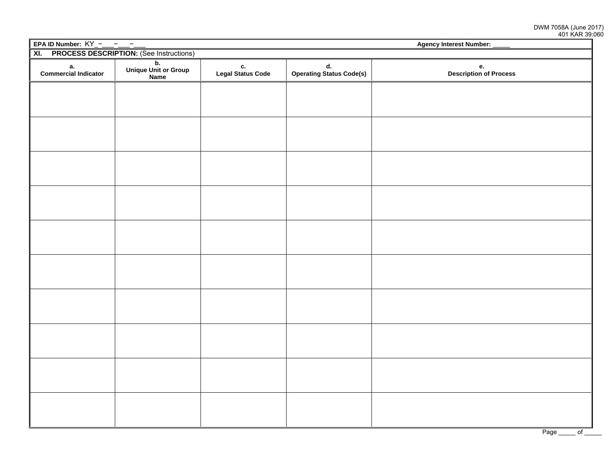|                                                                  | EPA ID Number: $KY$ - - - - -<br>Agency Interest Number: _____ |                         |                                |                              |  |  |
|------------------------------------------------------------------|----------------------------------------------------------------|-------------------------|--------------------------------|------------------------------|--|--|
| <b>PROCESS DESCRIPTION: (See Instructions)</b><br>$\overline{X}$ |                                                                |                         |                                |                              |  |  |
| a.<br>Commercial Indicator                                       | $\overline{b}$ .<br>Unique Unit or Group<br>Name               | c.<br>Legal Status Code | d.<br>Operating Status Code(s) | e.<br>Description of Process |  |  |
|                                                                  |                                                                |                         |                                |                              |  |  |
|                                                                  |                                                                |                         |                                |                              |  |  |
|                                                                  |                                                                |                         |                                |                              |  |  |
|                                                                  |                                                                |                         |                                |                              |  |  |
|                                                                  |                                                                |                         |                                |                              |  |  |
|                                                                  |                                                                |                         |                                |                              |  |  |
|                                                                  |                                                                |                         |                                |                              |  |  |
|                                                                  |                                                                |                         |                                |                              |  |  |
|                                                                  |                                                                |                         |                                |                              |  |  |
|                                                                  |                                                                |                         |                                |                              |  |  |
|                                                                  |                                                                |                         |                                |                              |  |  |
|                                                                  |                                                                |                         |                                |                              |  |  |
|                                                                  |                                                                |                         |                                |                              |  |  |
|                                                                  |                                                                |                         |                                |                              |  |  |
|                                                                  |                                                                |                         |                                |                              |  |  |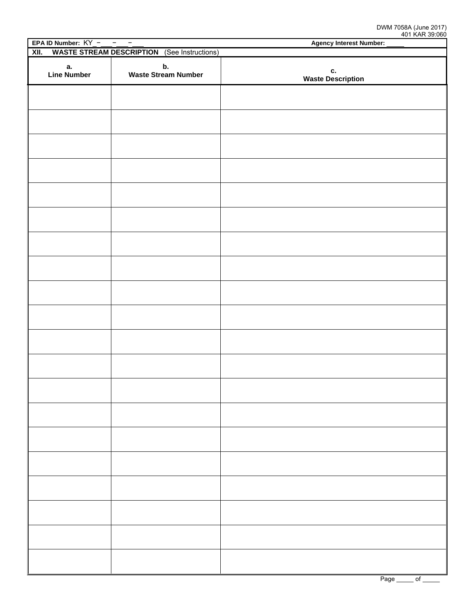| EPA ID Number: $KY$ - -<br>$\overline{\phantom{a}}$        |                                  | <b>AND INVITED</b><br><b>Agency Interest Number:</b> |  |
|------------------------------------------------------------|----------------------------------|------------------------------------------------------|--|
| <b>WASTE STREAM DESCRIPTION</b> (See Instructions)<br>XII. |                                  |                                                      |  |
| а.<br><b>Line Number</b>                                   | b.<br><b>Waste Stream Number</b> | c.<br><b>Waste Description</b>                       |  |
|                                                            |                                  |                                                      |  |
|                                                            |                                  |                                                      |  |
|                                                            |                                  |                                                      |  |
|                                                            |                                  |                                                      |  |
|                                                            |                                  |                                                      |  |
|                                                            |                                  |                                                      |  |
|                                                            |                                  |                                                      |  |
|                                                            |                                  |                                                      |  |
|                                                            |                                  |                                                      |  |
|                                                            |                                  |                                                      |  |
|                                                            |                                  |                                                      |  |
|                                                            |                                  |                                                      |  |
|                                                            |                                  |                                                      |  |
|                                                            |                                  |                                                      |  |
|                                                            |                                  |                                                      |  |
|                                                            |                                  |                                                      |  |
|                                                            |                                  |                                                      |  |
|                                                            |                                  |                                                      |  |
|                                                            |                                  |                                                      |  |
|                                                            |                                  |                                                      |  |